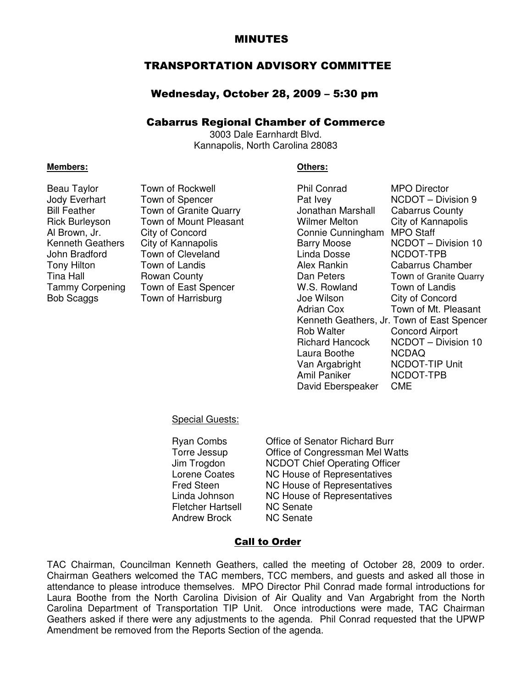## MINUTES

## TRANSPORTATION ADVISORY COMMITTEE

#### Wednesday, October 28, 2009 – 5:30 pm

#### Cabarrus Regional Chamber of Commerce

3003 Dale Earnhardt Blvd. Kannapolis, North Carolina 28083

#### **Members: Others:**

| Beau Taylor           | Town of Rockwell       | <b>Phil Conrad</b>     | <b>MPO Director</b>                        |
|-----------------------|------------------------|------------------------|--------------------------------------------|
| Jody Everhart         | Town of Spencer        | Pat Ivey               | NCDOT - Division 9                         |
| <b>Bill Feather</b>   | Town of Granite Quarry | Jonathan Marshall      | <b>Cabarrus County</b>                     |
| <b>Rick Burleyson</b> | Town of Mount Pleasant | <b>Wilmer Melton</b>   | City of Kannapolis                         |
| Al Brown, Jr.         | City of Concord        | Connie Cunningham      | <b>MPO Staff</b>                           |
| Kenneth Geathers      | City of Kannapolis     | <b>Barry Moose</b>     | NCDOT - Division 10                        |
| John Bradford         | Town of Cleveland      | Linda Dosse            | NCDOT-TPB                                  |
| Tony Hilton           | Town of Landis         | Alex Rankin            | <b>Cabarrus Chamber</b>                    |
| Tina Hall             | Rowan County           | Dan Peters             | Town of Granite Quarry                     |
| Tammy Corpening       | Town of East Spencer   | W.S. Rowland           | Town of Landis                             |
| Bob Scaggs            | Town of Harrisburg     | Joe Wilson             | City of Concord                            |
|                       |                        | <b>Adrian Cox</b>      | Town of Mt. Pleasant                       |
|                       |                        |                        | Kenneth Geathers, Jr. Town of East Spencer |
|                       |                        | <b>Rob Walter</b>      | Concord Airport                            |
|                       |                        | <b>Richard Hancock</b> | NCDOT - Division 10                        |
|                       |                        | Laura Boothe           | <b>NCDAQ</b>                               |
|                       |                        | Van Argabright         | NCDOT-TIP Unit                             |
|                       |                        | Amil Paniker           | NCDOT-TPB                                  |
|                       |                        | David Eberspeaker      | <b>CME</b>                                 |

#### Special Guests:

Fletcher Hartsell NC Senate<br>Andrew Brock NC Senate Andrew Brock

Ryan Combs Office of Senator Richard Burr Torre Jessup Office of Congressman Mel Watts Jim Trogdon **NCDOT Chief Operating Officer**<br>
Lorene Coates **NC House of Representatives** NC House of Representatives Fred Steen MC House of Representatives Linda Johnson NC House of Representatives

#### Call to Order

TAC Chairman, Councilman Kenneth Geathers, called the meeting of October 28, 2009 to order. Chairman Geathers welcomed the TAC members, TCC members, and guests and asked all those in attendance to please introduce themselves. MPO Director Phil Conrad made formal introductions for Laura Boothe from the North Carolina Division of Air Quality and Van Argabright from the North Carolina Department of Transportation TIP Unit. Once introductions were made, TAC Chairman Geathers asked if there were any adjustments to the agenda. Phil Conrad requested that the UPWP Amendment be removed from the Reports Section of the agenda.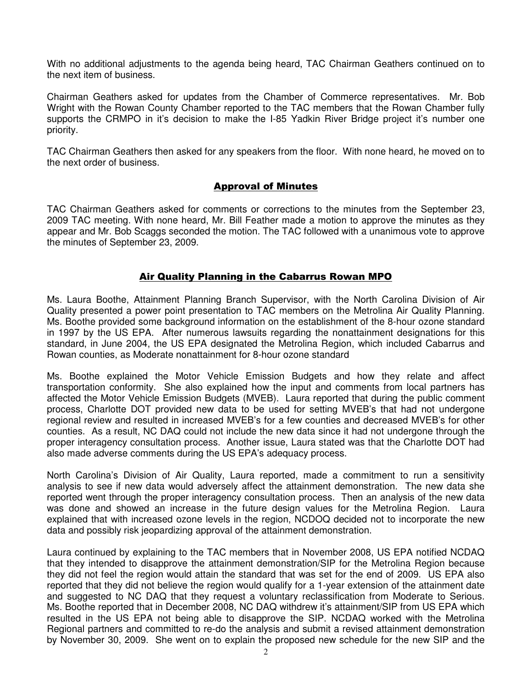With no additional adjustments to the agenda being heard, TAC Chairman Geathers continued on to the next item of business.

Chairman Geathers asked for updates from the Chamber of Commerce representatives. Mr. Bob Wright with the Rowan County Chamber reported to the TAC members that the Rowan Chamber fully supports the CRMPO in it's decision to make the I-85 Yadkin River Bridge project it's number one priority.

TAC Chairman Geathers then asked for any speakers from the floor. With none heard, he moved on to the next order of business.

## Approval of Minutes

TAC Chairman Geathers asked for comments or corrections to the minutes from the September 23, 2009 TAC meeting. With none heard, Mr. Bill Feather made a motion to approve the minutes as they appear and Mr. Bob Scaggs seconded the motion. The TAC followed with a unanimous vote to approve the minutes of September 23, 2009.

#### Air Quality Planning in the Cabarrus Rowan MPO

Ms. Laura Boothe, Attainment Planning Branch Supervisor, with the North Carolina Division of Air Quality presented a power point presentation to TAC members on the Metrolina Air Quality Planning. Ms. Boothe provided some background information on the establishment of the 8-hour ozone standard in 1997 by the US EPA. After numerous lawsuits regarding the nonattainment designations for this standard, in June 2004, the US EPA designated the Metrolina Region, which included Cabarrus and Rowan counties, as Moderate nonattainment for 8-hour ozone standard

Ms. Boothe explained the Motor Vehicle Emission Budgets and how they relate and affect transportation conformity. She also explained how the input and comments from local partners has affected the Motor Vehicle Emission Budgets (MVEB). Laura reported that during the public comment process, Charlotte DOT provided new data to be used for setting MVEB's that had not undergone regional review and resulted in increased MVEB's for a few counties and decreased MVEB's for other counties. As a result, NC DAQ could not include the new data since it had not undergone through the proper interagency consultation process. Another issue, Laura stated was that the Charlotte DOT had also made adverse comments during the US EPA's adequacy process.

North Carolina's Division of Air Quality, Laura reported, made a commitment to run a sensitivity analysis to see if new data would adversely affect the attainment demonstration. The new data she reported went through the proper interagency consultation process. Then an analysis of the new data was done and showed an increase in the future design values for the Metrolina Region. Laura explained that with increased ozone levels in the region, NCDOQ decided not to incorporate the new data and possibly risk jeopardizing approval of the attainment demonstration.

Laura continued by explaining to the TAC members that in November 2008, US EPA notified NCDAQ that they intended to disapprove the attainment demonstration/SIP for the Metrolina Region because they did not feel the region would attain the standard that was set for the end of 2009. US EPA also reported that they did not believe the region would qualify for a 1-year extension of the attainment date and suggested to NC DAQ that they request a voluntary reclassification from Moderate to Serious. Ms. Boothe reported that in December 2008, NC DAQ withdrew it's attainment/SIP from US EPA which resulted in the US EPA not being able to disapprove the SIP. NCDAQ worked with the Metrolina Regional partners and committed to re-do the analysis and submit a revised attainment demonstration by November 30, 2009. She went on to explain the proposed new schedule for the new SIP and the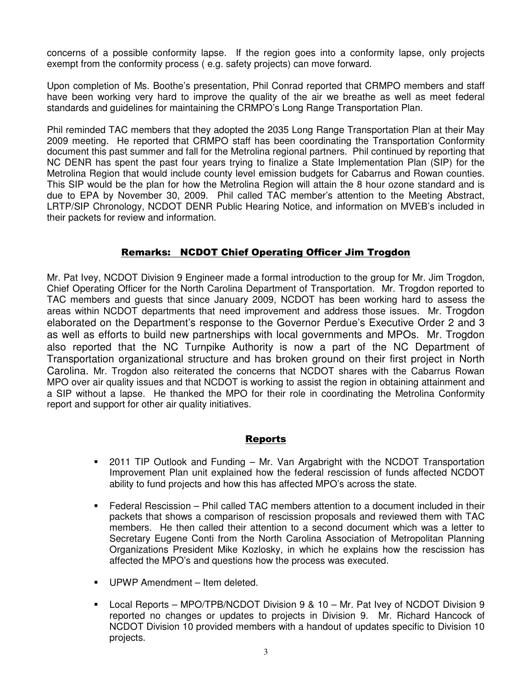concerns of a possible conformity lapse. If the region goes into a conformity lapse, only projects exempt from the conformity process ( e.g. safety projects) can move forward.

Upon completion of Ms. Boothe's presentation, Phil Conrad reported that CRMPO members and staff have been working very hard to improve the quality of the air we breathe as well as meet federal standards and guidelines for maintaining the CRMPO's Long Range Transportation Plan.

Phil reminded TAC members that they adopted the 2035 Long Range Transportation Plan at their May 2009 meeting. He reported that CRMPO staff has been coordinating the Transportation Conformity document this past summer and fall for the Metrolina regional partners. Phil continued by reporting that NC DENR has spent the past four years trying to finalize a State Implementation Plan (SIP) for the Metrolina Region that would include county level emission budgets for Cabarrus and Rowan counties. This SIP would be the plan for how the Metrolina Region will attain the 8 hour ozone standard and is due to EPA by November 30, 2009. Phil called TAC member's attention to the Meeting Abstract, LRTP/SIP Chronology, NCDOT DENR Public Hearing Notice, and information on MVEB's included in their packets for review and information.

## Remarks: NCDOT Chief Operating Officer Jim Trogdon

Mr. Pat Ivey, NCDOT Division 9 Engineer made a formal introduction to the group for Mr. Jim Trogdon, Chief Operating Officer for the North Carolina Department of Transportation. Mr. Trogdon reported to TAC members and guests that since January 2009, NCDOT has been working hard to assess the areas within NCDOT departments that need improvement and address those issues. Mr. Trogdon elaborated on the Department's response to the Governor Perdue's Executive Order 2 and 3 as well as efforts to build new partnerships with local governments and MPOs. Mr. Trogdon also reported that the NC Turnpike Authority is now a part of the NC Department of Transportation organizational structure and has broken ground on their first project in North Carolina. Mr. Trogdon also reiterated the concerns that NCDOT shares with the Cabarrus Rowan MPO over air quality issues and that NCDOT is working to assist the region in obtaining attainment and a SIP without a lapse. He thanked the MPO for their role in coordinating the Metrolina Conformity report and support for other air quality initiatives.

# **Reports**

- 2011 TIP Outlook and Funding Mr. Van Argabright with the NCDOT Transportation Improvement Plan unit explained how the federal rescission of funds affected NCDOT ability to fund projects and how this has affected MPO's across the state.
- Federal Rescission Phil called TAC members attention to a document included in their packets that shows a comparison of rescission proposals and reviewed them with TAC members. He then called their attention to a second document which was a letter to Secretary Eugene Conti from the North Carolina Association of Metropolitan Planning Organizations President Mike Kozlosky, in which he explains how the rescission has affected the MPO's and questions how the process was executed.
- **UPWP Amendment Item deleted.**
- Local Reports MPO/TPB/NCDOT Division 9 & 10 Mr. Pat Ivey of NCDOT Division 9 reported no changes or updates to projects in Division 9. Mr. Richard Hancock of NCDOT Division 10 provided members with a handout of updates specific to Division 10 projects.